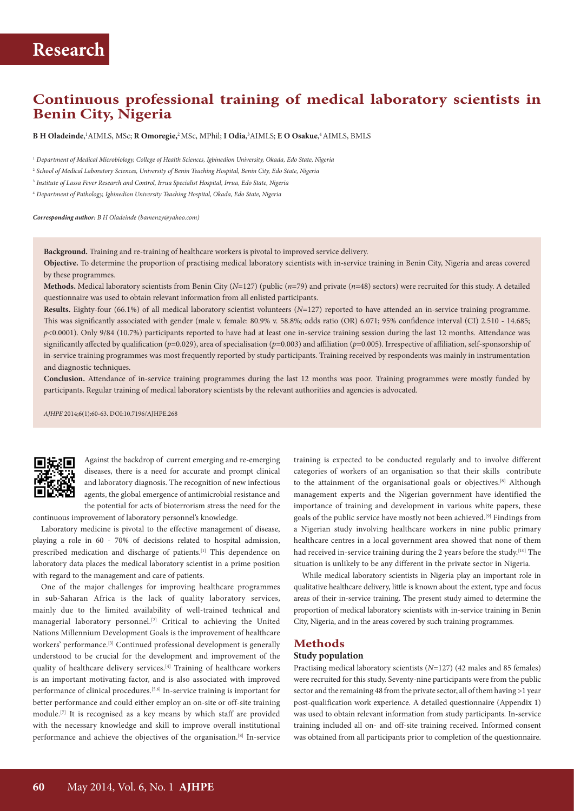## **Continuous professional training of medical laboratory scientists in Benin City, Nigeria**

**B H Oladeinde**, 1 AIMLS, MSc; **R Omoregie,**2 MSc, MPhil; **I Odia**, 3 AIMLS; **E O Osakue**, 4 AIMLS, BMLS

<sup>1</sup> *Department of Medical Microbiology, College of Health Sciences, Igbinedion University, Okada, Edo State, Nigeria* 

<sup>2</sup> *School of Medical Laboratory Sciences, University of Benin Teaching Hospital, Benin City, Edo State, Nigeria* 

<sup>3</sup> *Institute of Lassa Fever Research and Control, Irrua Specialist Hospital, Irrua, Edo State, Nigeria* 

<sup>4</sup> *Department of Pathology, Igbinedion University Teaching Hospital, Okada, Edo State, Nigeria*

*Corresponding author: B H Oladeinde ([bamenzy@yahoo.com\)](mailto:bamenzy@yahoo.com)*

**Background.** Training and re-training of healthcare workers is pivotal to improved service delivery.

**Objective.** To determine the proportion of practising medical laboratory scientists with in-service training in Benin City, Nigeria and areas covered by these programmes.

**Methods.** Medical laboratory scientists from Benin City (*N*=127) (public (*n*=79) and private (*n*=48) sectors) were recruited for this study. A detailed questionnaire was used to obtain relevant information from all enlisted participants.

**Results.** Eighty-four (66.1%) of all medical laboratory scientist volunteers (*N*=127) reported to have attended an in-service training programme. This was significantly associated with gender (male v. female: 80.9% v. 58.8%; odds ratio (OR) 6.071; 95% confidence interval (CI) 2.510 - 14.685; *p*<0.0001). Only 9/84 (10.7%) participants reported to have had at least one in-service training session during the last 12 months. Attendance was significantly affected by qualification (*p*=0.029), area of specialisation (*p=*0.003) and affiliation (*p*=0.005). Irrespective of affiliation, self-sponsorship of in-service training programmes was most frequently reported by study participants. Training received by respondents was mainly in instrumentation and diagnostic techniques.

**Conclusion.** Attendance of in-service training programmes during the last 12 months was poor. Training programmes were mostly funded by participants. Regular training of medical laboratory scientists by the relevant authorities and agencies is advocated.

*AJHPE* 2014;6(1):60-63. DOI:10.7196/AJHPE.268



Against the backdrop of current emerging and re-emerging diseases, there is a need for accurate and prompt clinical and laboratory diagnosis. The recognition of new infectious agents, the global emergence of antimicrobial resistance and the potential for acts of bioterrorism stress the need for the

continuous improvement of laboratory personnel's knowledge.

Laboratory medicine is pivotal to the effective management of disease, playing a role in 60 - 70% of decisions related to hospital admission, prescribed medication and discharge of patients.[1] This dependence on laboratory data places the medical laboratory scientist in a prime position with regard to the management and care of patients.

One of the major challenges for improving healthcare programmes in sub-Saharan Africa is the lack of quality laboratory services, mainly due to the limited availability of well-trained technical and managerial laboratory personnel.<sup>[2]</sup> Critical to achieving the United Nations Millennium Development Goals is the improvement of healthcare workers' performance.<sup>[3]</sup> Continued professional development is generally understood to be crucial for the development and improvement of the quality of healthcare delivery services.<sup>[4]</sup> Training of healthcare workers is an important motivating factor, and is also associated with improved performance of clinical procedures.[5,6] In-service training is important for better performance and could either employ an on-site or off-site training module.[7] It is recognised as a key means by which staff are provided with the necessary knowledge and skill to improve overall institutional performance and achieve the objectives of the organisation.[8] In-service

training is expected to be conducted regularly and to involve different categories of workers of an organisation so that their skills contribute to the attainment of the organisational goals or objectives.<sup>[8]</sup> Although management experts and the Nigerian government have identified the importance of training and development in various white papers, these goals of the public service have mostly not been achieved.<sup>[9]</sup> Findings from a Nigerian study involving healthcare workers in nine public primary healthcare centres in a local government area showed that none of them had received in-service training during the 2 years before the study.<sup>[10]</sup> The situation is unlikely to be any different in the private sector in Nigeria.

While medical laboratory scientists in Nigeria play an important role in qualitative healthcare delivery, little is known about the extent, type and focus areas of their in-service training. The present study aimed to determine the proportion of medical laboratory scientists with in-service training in Benin City, Nigeria, and in the areas covered by such training programmes.

## **Methods**

#### **Study population**

Practising medical laboratory scientists (*N*=127) (42 males and 85 females) were recruited for this study. Seventy-nine participants were from the public sector and the remaining 48 from the private sector, all of them having >1 year post-qualification work experience. A detailed questionnaire (Appendix 1) was used to obtain relevant information from study participants. In-service training included all on- and off-site training received. Informed consent was obtained from all participants prior to completion of the questionnaire.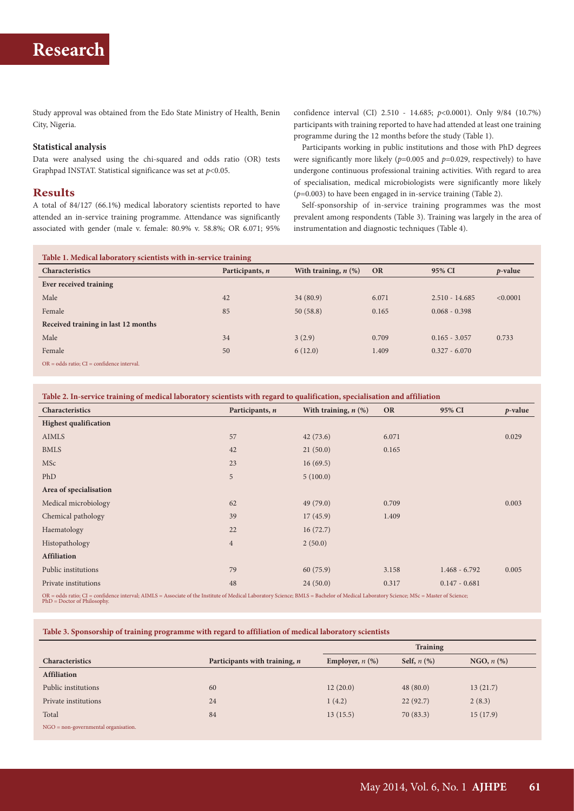# **Research**

Study approval was obtained from the Edo State Ministry of Health, Benin City, Nigeria.

#### **Statistical analysis**

Data were analysed using the chi-squared and odds ratio (OR) tests Graphpad INSTAT. Statistical significance was set at *p*<0.05.

#### **Results**

A total of 84/127 (66.1%**)** medical laboratory scientists reported to have attended an in-service training programme. Attendance was significantly associated with gender (male v. female: 80.9% v. 58.8%; OR 6.071; 95% confidence interval (CI) 2.510 - 14.685; *p*<0.0001). Only 9/84 (10.7%) participants with training reported to have had attended at least one training programme during the 12 months before the study (Table 1).

Participants working in public institutions and those with PhD degrees were significantly more likely ( $p=0.005$  and  $p=0.029$ , respectively) to have undergone continuous professional training activities. With regard to area of specialisation, medical microbiologists were significantly more likely (*p*=0.003) to have been engaged in in-service training (Table 2).

Self-sponsorship of in-service training programmes was the most prevalent among respondents (Table 3). Training was largely in the area of instrumentation and diagnostic techniques (Table 4).

| Table 1. Medical laboratory scientists with in-service training |                 |                           |       |                  |            |
|-----------------------------------------------------------------|-----------------|---------------------------|-------|------------------|------------|
| Characteristics                                                 | Participants, n | With training, $n$ $(\%)$ | OR    | 95% CI           | $p$ -value |
| Ever received training                                          |                 |                           |       |                  |            |
| Male                                                            | 42              | 34(80.9)                  | 6.071 | $2.510 - 14.685$ | < 0.0001   |
| Female                                                          | 85              | 50(58.8)                  | 0.165 | $0.068 - 0.398$  |            |
| Received training in last 12 months                             |                 |                           |       |                  |            |
| Male                                                            | 34              | 3(2.9)                    | 0.709 | $0.165 - 3.057$  | 0.733      |
| Female                                                          | 50              | 6(12.0)                   | 1.409 | $0.327 - 6.070$  |            |
| $OR = odds ratio$ : $CI = confidence interval$ .                |                 |                           |       |                  |            |

**Table 2. In-service training of medical laboratory scientists with regard to qualification, specialisation and affiliation** 

| Characteristics              | Participants, n | With training, $n$ $(\%)$ | <b>OR</b> | 95% CI          | $p$ -value |
|------------------------------|-----------------|---------------------------|-----------|-----------------|------------|
| <b>Highest qualification</b> |                 |                           |           |                 |            |
| <b>AIMLS</b>                 | 57              | 42(73.6)                  | 6.071     |                 | 0.029      |
| <b>BMLS</b>                  | 42              | 21(50.0)                  | 0.165     |                 |            |
| <b>MSc</b>                   | 23              | 16(69.5)                  |           |                 |            |
| PhD                          | 5               | 5(100.0)                  |           |                 |            |
| Area of specialisation       |                 |                           |           |                 |            |
| Medical microbiology         | 62              | 49(79.0)                  | 0.709     |                 | 0.003      |
| Chemical pathology           | 39              | 17(45.9)                  | 1.409     |                 |            |
| Haematology                  | 22              | 16(72.7)                  |           |                 |            |
| Histopathology               | $\overline{4}$  | 2(50.0)                   |           |                 |            |
| <b>Affiliation</b>           |                 |                           |           |                 |            |
| Public institutions          | 79              | 60(75.9)                  | 3.158     | $1.468 - 6.792$ | 0.005      |
| Private institutions         | 48              | 24(50.0)                  | 0.317     | $0.147 - 0.681$ |            |
|                              |                 |                           |           |                 |            |

OR = odds ratio; CI = confidence interval; AIMLS = Associate of the Institute of Medical Laboratory Science; BMLS = Bachelor of Medical Laboratory Science; MSc = Master of Science; PhD = Doctor of Philosophy.

**Table 3. Sponsorship of training programme with regard to affiliation of medical laboratory scientists**

|                                        |                                 | <b>Training</b>   |                  |              |
|----------------------------------------|---------------------------------|-------------------|------------------|--------------|
| <b>Characteristics</b>                 | Participants with training, $n$ | Employer, $n$ (%) | Self, $n$ $(\%)$ | $NGO, n$ (%) |
| <b>Affiliation</b>                     |                                 |                   |                  |              |
| Public institutions                    | 60                              | 12(20.0)          | 48(80.0)         | 13(21.7)     |
| Private institutions                   | 24                              | 1(4.2)            | 22(92.7)         | 2(8.3)       |
| Total                                  | 84                              | 13(15.5)          | 70(83.3)         | 15(17.9)     |
| $NGO = non-governmental organization.$ |                                 |                   |                  |              |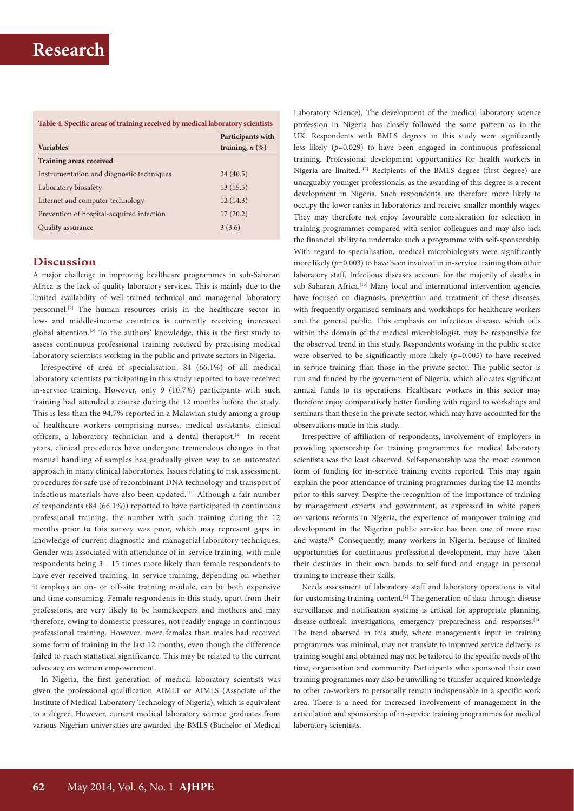|                                           | Table 4. Specific areas of training received by medical laboratory scientists<br>Participants with |  |
|-------------------------------------------|----------------------------------------------------------------------------------------------------|--|
| <b>Variables</b>                          | training, $n$ $(\%)$                                                                               |  |
| Training areas received                   |                                                                                                    |  |
| Instrumentation and diagnostic techniques | 34(40.5)                                                                                           |  |
| Laboratory biosafety                      | 13(15.5)                                                                                           |  |
| Internet and computer technology          | 12(14.3)                                                                                           |  |
| Prevention of hospital-acquired infection | 17(20.2)                                                                                           |  |
| Quality assurance                         | 3(3.6)                                                                                             |  |

### **Discussion**

A major challenge in improving healthcare programmes in sub-Saharan Africa is the lack of quality laboratory services. This is mainly due to the limited availability of well-trained technical and managerial laboratory personnel.[2] The human resources crisis in the healthcare sector in low- and middle-income countries is currently receiving increased global attention.[3] To the authors' knowledge, this is the first study to assess continuous professional training received by practising medical laboratory scientists working in the public and private sectors in Nigeria.

Irrespective of area of specialisation, 84 (66.1%) of all medical laboratory scientists participating in this study reported to have received in-service training. However, only 9 (10.7%) participants with such training had attended a course during the 12 months before the study. This is less than the 94.7% reported in a Malawian study among a group of healthcare workers comprising nurses, medical assistants, clinical officers, a laboratory technician and a dental therapist.<sup>[4]</sup> In recent years, clinical procedures have undergone tremendous changes in that manual handling of samples has gradually given way to an automated approach in many clinical laboratories. Issues relating to risk assessment, procedures for safe use of recombinant DNA technology and transport of infectious materials have also been updated.<sup>[11]</sup> Although a fair number of respondents (84 (66.1%)) reported to have participated in continuous professional training, the number with such training during the 12 months prior to this survey was poor, which may represent gaps in knowledge of current diagnostic and managerial laboratory techniques. Gender was associated with attendance of in-service training, with male respondents being 3 - 15 times more likely than female respondents to have ever received training. In-service training, depending on whether it employs an on- or off-site training module, can be both expensive and time consuming. Female respondents in this study, apart from their professions, are very likely to be homekeepers and mothers and may therefore, owing to domestic pressures, not readily engage in continuous professional training. However, more females than males had received some form of training in the last 12 months, even though the difference failed to reach statistical significance. This may be related to the current advocacy on women empowerment.

In Nigeria, the first generation of medical laboratory scientists was given the professional qualification AIMLT or AIMLS (Associate of the Institute of Medical Laboratory Technology of Nigeria), which is equivalent to a degree. However, current medical laboratory science graduates from various Nigerian universities are awarded the BMLS (Bachelor of Medical Laboratory Science). The development of the medical laboratory science profession in Nigeria has closely followed the same pattern as in the UK. Respondents with BMLS degrees in this study were significantly less likely (*p*=0.029) to have been engaged in continuous professional training. Professional development opportunities for health workers in Nigeria are limited.<sup>[12]</sup> Recipients of the BMLS degree (first degree) are unarguably younger professionals, as the awarding of this degree is a recent development in Nigeria. Such respondents are therefore more likely to occupy the lower ranks in laboratories and receive smaller monthly wages. They may therefore not enjoy favourable consideration for selection in training programmes compared with senior colleagues and may also lack the financial ability to undertake such a programme with self-sponsorship. With regard to specialisation, medical microbiologists were significantly more likely  $(p=0.003)$  to have been involved in in-service training than other laboratory staff. Infectious diseases account for the majority of deaths in sub-Saharan Africa.<sup>[13]</sup> Many local and international intervention agencies have focused on diagnosis, prevention and treatment of these diseases, with frequently organised seminars and workshops for healthcare workers and the general public. This emphasis on infectious disease, which falls within the domain of the medical microbiologist, may be responsible for the observed trend in this study. Respondents working in the public sector were observed to be significantly more likely (*p*=0.005) to have received in-service training than those in the private sector. The public sector is run and funded by the government of Nigeria, which allocates significant annual funds to its operations. Healthcare workers in this sector may therefore enjoy comparatively better funding with regard to workshops and seminars than those in the private sector, which may have accounted for the observations made in this study.

Irrespective of affiliation of respondents, involvement of employers in providing sponsorship for training programmes for medical laboratory scientists was the least observed. Self-sponsorship was the most common form of funding for in-service training events reported. This may again explain the poor attendance of training programmes during the 12 months prior to this survey. Despite the recognition of the importance of training by management experts and government, as expressed in white papers on various reforms in Nigeria, the experience of manpower training and development in the Nigerian public service has been one of more ruse and waste.<sup>[9]</sup> Consequently, many workers in Nigeria, because of limited opportunities for continuous professional development, may have taken their destinies in their own hands to self-fund and engage in personal training to increase their skills.

Needs assessment of laboratory staff and laboratory operations is vital for customising training content.<sup>[2]</sup> The generation of data through disease surveillance and notification systems is critical for appropriate planning, disease-outbreak investigations, emergency preparedness and responses.<sup>[14]</sup> The trend observed in this study, where management's input in training programmes was minimal, may not translate to improved service delivery, as training sought and obtained may not be tailored to the specific needs of the time, organisation and community. Participants who sponsored their own training programmes may also be unwilling to transfer acquired knowledge to other co-workers to personally remain indispensable in a specific work area. There is a need for increased involvement of management in the articulation and sponsorship of in-service training programmes for medical laboratory scientists.